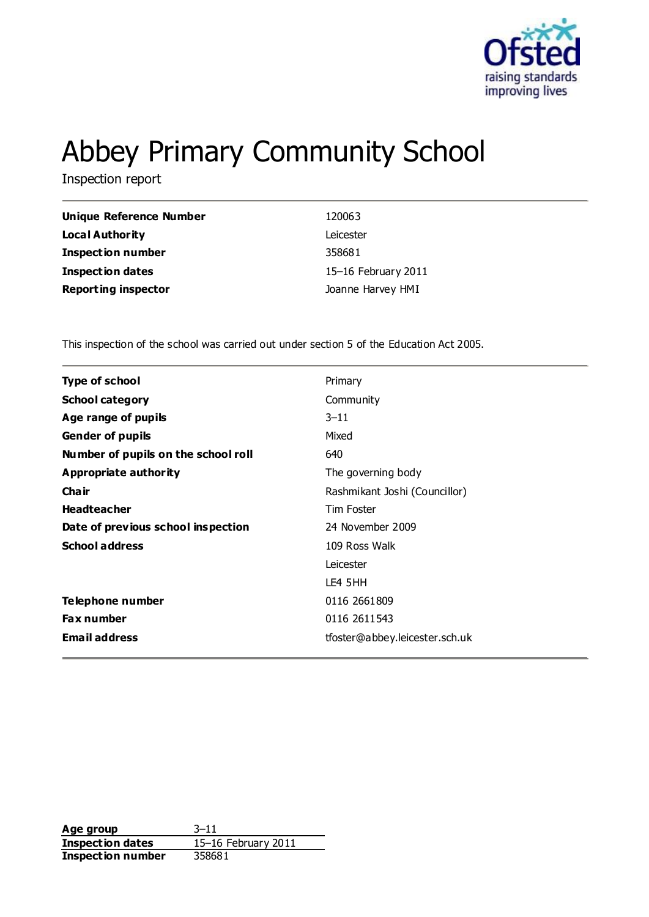

# Abbey Primary Community School

Inspection report

| <b>Unique Reference Number</b> | 120063              |
|--------------------------------|---------------------|
| Local Authority                | Leicester           |
| <b>Inspection number</b>       | 358681              |
| <b>Inspection dates</b>        | 15–16 February 2011 |
| <b>Reporting inspector</b>     | Joanne Harvey HMI   |

This inspection of the school was carried out under section 5 of the Education Act 2005.

| <b>Type of school</b>               | Primary                        |
|-------------------------------------|--------------------------------|
| <b>School category</b>              | Community                      |
| Age range of pupils                 | $3 - 11$                       |
| <b>Gender of pupils</b>             | Mixed                          |
| Number of pupils on the school roll | 640                            |
| Appropriate authority               | The governing body             |
| Cha ir                              | Rashmikant Joshi (Councillor)  |
| <b>Headteacher</b>                  | <b>Tim Foster</b>              |
| Date of previous school inspection  | 24 November 2009               |
| <b>School address</b>               | 109 Ross Walk                  |
|                                     | Leicester                      |
|                                     | LE4 5HH                        |
| Telephone number                    | 0116 2661809                   |
| <b>Fax number</b>                   | 0116 2611 543                  |
| <b>Email address</b>                | tfoster@abbey.leicester.sch.uk |
|                                     |                                |

**Age group** 3–11 **Inspection dates** 15–16 February 2011 **Inspection number** 358681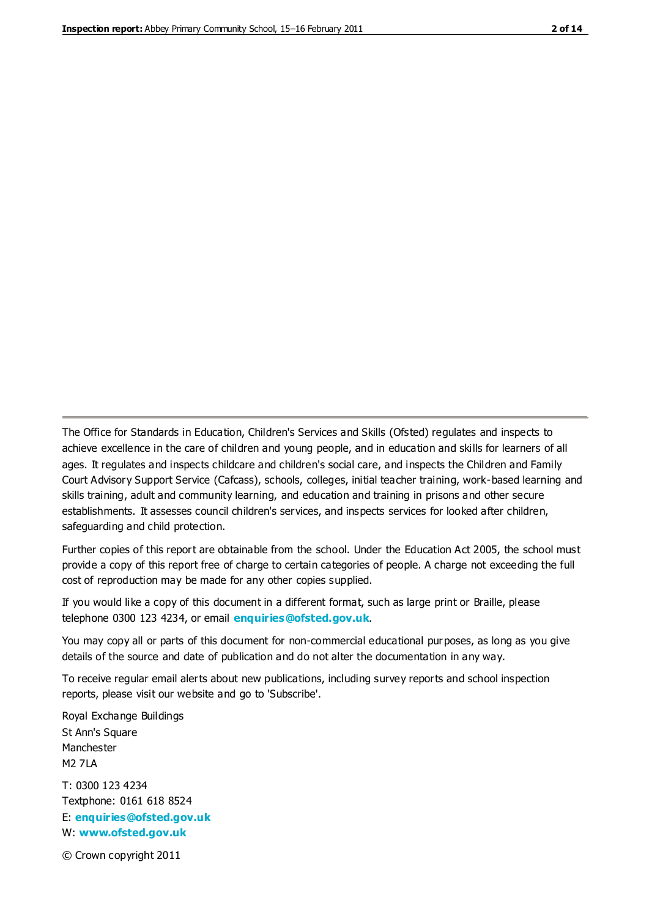The Office for Standards in Education, Children's Services and Skills (Ofsted) regulates and inspects to achieve excellence in the care of children and young people, and in education and skills for learners of all ages. It regulates and inspects childcare and children's social care, and inspects the Children and Family Court Advisory Support Service (Cafcass), schools, colleges, initial teacher training, work-based learning and skills training, adult and community learning, and education and training in prisons and other secure establishments. It assesses council children's services, and inspects services for looked after children, safeguarding and child protection.

Further copies of this report are obtainable from the school. Under the Education Act 2005, the school must provide a copy of this report free of charge to certain categories of people. A charge not exceeding the full cost of reproduction may be made for any other copies supplied.

If you would like a copy of this document in a different format, such as large print or Braille, please telephone 0300 123 4234, or email **[enquiries@ofsted.gov.uk](mailto:enquiries@ofsted.gov.uk)**.

You may copy all or parts of this document for non-commercial educational purposes, as long as you give details of the source and date of publication and do not alter the documentation in any way.

To receive regular email alerts about new publications, including survey reports and school inspection reports, please visit our website and go to 'Subscribe'.

Royal Exchange Buildings St Ann's Square Manchester M2 7LA T: 0300 123 4234 Textphone: 0161 618 8524 E: **[enquiries@ofsted.gov.uk](mailto:enquiries@ofsted.gov.uk)**

W: **[www.ofsted.gov.uk](http://www.ofsted.gov.uk/)**

© Crown copyright 2011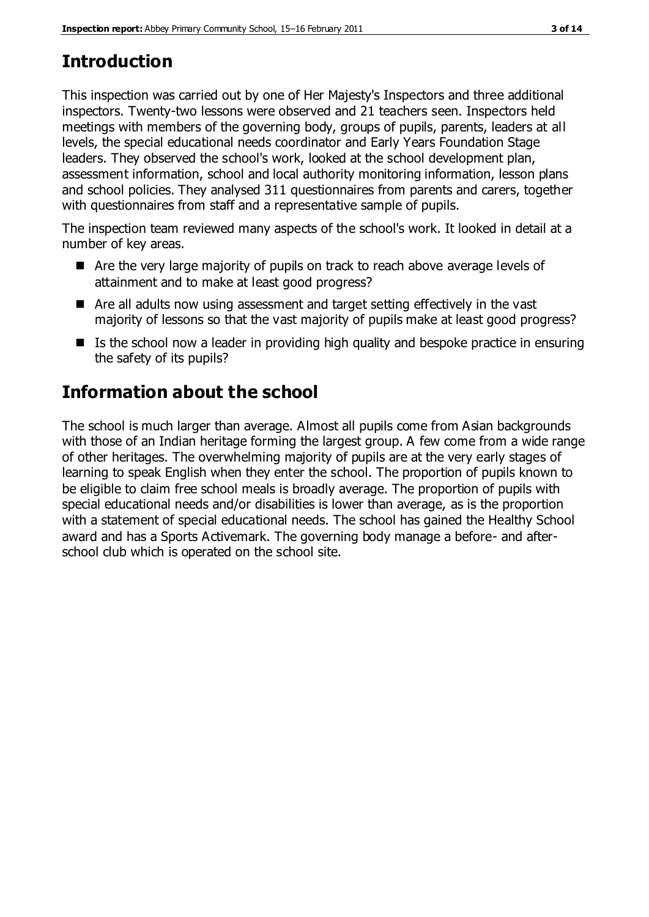# **Introduction**

This inspection was carried out by one of Her Majesty's Inspectors and three additional inspectors. Twenty-two lessons were observed and 21 teachers seen. Inspectors held meetings with members of the governing body, groups of pupils, parents, leaders at all levels, the special educational needs coordinator and Early Years Foundation Stage leaders. They observed the school's work, looked at the school development plan, assessment information, school and local authority monitoring information, lesson plans and school policies. They analysed 311 questionnaires from parents and carers, together with questionnaires from staff and a representative sample of pupils.

The inspection team reviewed many aspects of the school's work. It looked in detail at a number of key areas.

- Are the very large majority of pupils on track to reach above average levels of attainment and to make at least good progress?
- Are all adults now using assessment and target setting effectively in the vast majority of lessons so that the vast majority of pupils make at least good progress?
- $\blacksquare$  Is the school now a leader in providing high quality and bespoke practice in ensuring the safety of its pupils?

# **Information about the school**

The school is much larger than average. Almost all pupils come from Asian backgrounds with those of an Indian heritage forming the largest group. A few come from a wide range of other heritages. The overwhelming majority of pupils are at the very early stages of learning to speak English when they enter the school. The proportion of pupils known to be eligible to claim free school meals is broadly average. The proportion of pupils with special educational needs and/or disabilities is lower than average, as is the proportion with a statement of special educational needs. The school has gained the Healthy School award and has a Sports Activemark. The governing body manage a before- and afterschool club which is operated on the school site.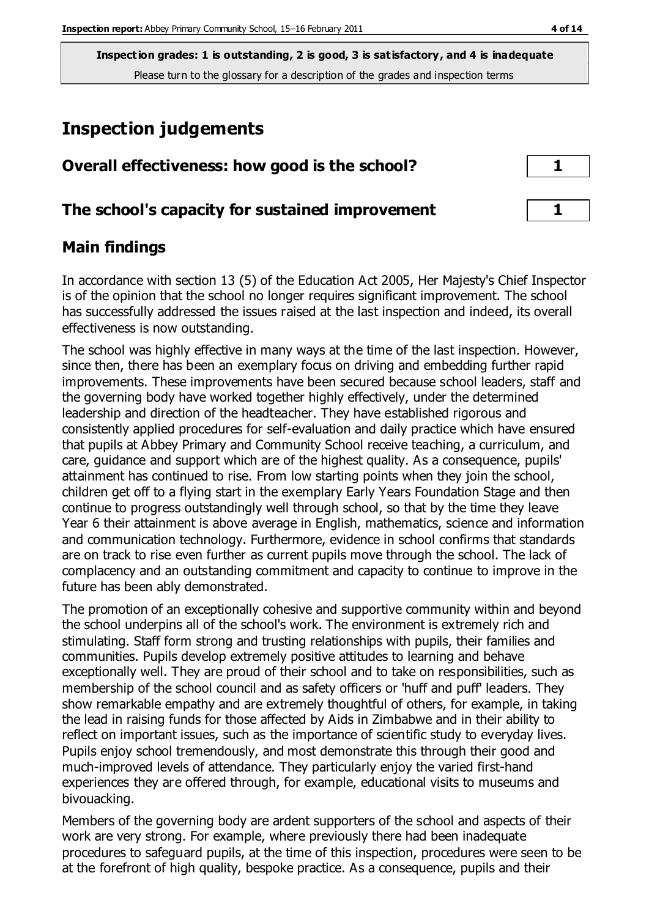# **Inspection judgements**

| Overall effectiveness: how good is the school?  |  |
|-------------------------------------------------|--|
| The school's capacity for sustained improvement |  |

## **Main findings**

In accordance with section 13 (5) of the Education Act 2005, Her Majesty's Chief Inspector is of the opinion that the school no longer requires significant improvement. The school has successfully addressed the issues raised at the last inspection and indeed, its overall effectiveness is now outstanding.

The school was highly effective in many ways at the time of the last inspection. However, since then, there has been an exemplary focus on driving and embedding further rapid improvements. These improvements have been secured because school leaders, staff and the governing body have worked together highly effectively, under the determined leadership and direction of the headteacher. They have established rigorous and consistently applied procedures for self-evaluation and daily practice which have ensured that pupils at Abbey Primary and Community School receive teaching, a curriculum, and care, guidance and support which are of the highest quality. As a consequence, pupils' attainment has continued to rise. From low starting points when they join the school, children get off to a flying start in the exemplary Early Years Foundation Stage and then continue to progress outstandingly well through school, so that by the time they leave Year 6 their attainment is above average in English, mathematics, science and information and communication technology. Furthermore, evidence in school confirms that standards are on track to rise even further as current pupils move through the school. The lack of complacency and an outstanding commitment and capacity to continue to improve in the future has been ably demonstrated.

The promotion of an exceptionally cohesive and supportive community within and beyond the school underpins all of the school's work. The environment is extremely rich and stimulating. Staff form strong and trusting relationships with pupils, their families and communities. Pupils develop extremely positive attitudes to learning and behave exceptionally well. They are proud of their school and to take on responsibilities, such as membership of the school council and as safety officers or 'huff and puff' leaders. They show remarkable empathy and are extremely thoughtful of others, for example, in taking the lead in raising funds for those affected by Aids in Zimbabwe and in their ability to reflect on important issues, such as the importance of scientific study to everyday lives. Pupils enjoy school tremendously, and most demonstrate this through their good and much-improved levels of attendance. They particularly enjoy the varied first-hand experiences they are offered through, for example, educational visits to museums and bivouacking.

Members of the governing body are ardent supporters of the school and aspects of their work are very strong. For example, where previously there had been inadequate procedures to safeguard pupils, at the time of this inspection, procedures were seen to be at the forefront of high quality, bespoke practice. As a consequence, pupils and their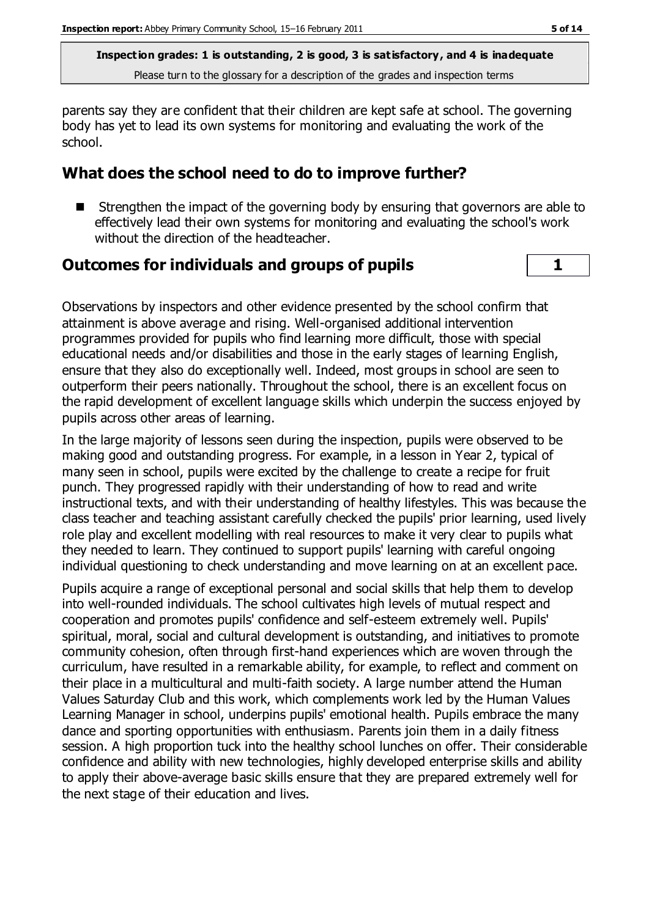parents say they are confident that their children are kept safe at school. The governing body has yet to lead its own systems for monitoring and evaluating the work of the school.

#### **What does the school need to do to improve further?**

■ Strengthen the impact of the governing body by ensuring that governors are able to effectively lead their own systems for monitoring and evaluating the school's work without the direction of the headteacher.

#### **Outcomes for individuals and groups of pupils 1**

Observations by inspectors and other evidence presented by the school confirm that attainment is above average and rising. Well-organised additional intervention programmes provided for pupils who find learning more difficult, those with special educational needs and/or disabilities and those in the early stages of learning English, ensure that they also do exceptionally well. Indeed, most groups in school are seen to outperform their peers nationally. Throughout the school, there is an excellent focus on the rapid development of excellent language skills which underpin the success enjoyed by pupils across other areas of learning.

In the large majority of lessons seen during the inspection, pupils were observed to be making good and outstanding progress. For example, in a lesson in Year 2, typical of many seen in school, pupils were excited by the challenge to create a recipe for fruit punch. They progressed rapidly with their understanding of how to read and write instructional texts, and with their understanding of healthy lifestyles. This was because the class teacher and teaching assistant carefully checked the pupils' prior learning, used lively role play and excellent modelling with real resources to make it very clear to pupils what they needed to learn. They continued to support pupils' learning with careful ongoing individual questioning to check understanding and move learning on at an excellent pace.

Pupils acquire a range of exceptional personal and social skills that help them to develop into well-rounded individuals. The school cultivates high levels of mutual respect and cooperation and promotes pupils' confidence and self-esteem extremely well. Pupils' spiritual, moral, social and cultural development is outstanding, and initiatives to promote community cohesion, often through first-hand experiences which are woven through the curriculum, have resulted in a remarkable ability, for example, to reflect and comment on their place in a multicultural and multi-faith society. A large number attend the Human Values Saturday Club and this work, which complements work led by the Human Values Learning Manager in school, underpins pupils' emotional health. Pupils embrace the many dance and sporting opportunities with enthusiasm. Parents join them in a daily fitness session. A high proportion tuck into the healthy school lunches on offer. Their considerable confidence and ability with new technologies, highly developed enterprise skills and ability to apply their above-average basic skills ensure that they are prepared extremely well for the next stage of their education and lives.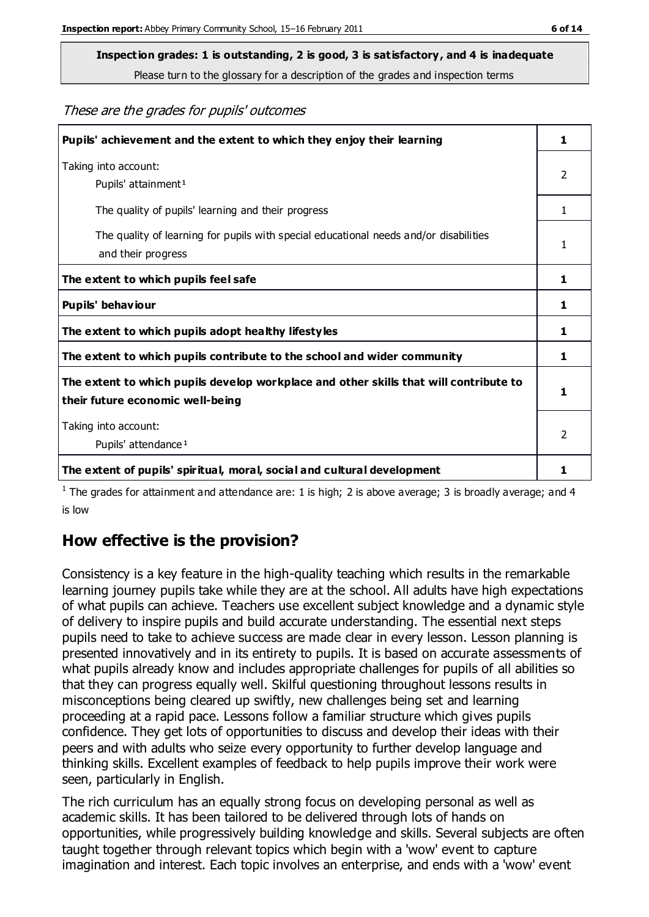**Inspection grades: 1 is outstanding, 2 is good, 3 is satisfactory, and 4 is inadequate**

Please turn to the glossary for a description of the grades and inspection terms

These are the grades for pupils' outcomes

| Pupils' achievement and the extent to which they enjoy their learning                                                     | 1             |
|---------------------------------------------------------------------------------------------------------------------------|---------------|
| Taking into account:<br>Pupils' attainment <sup>1</sup>                                                                   | 2             |
| The quality of pupils' learning and their progress                                                                        | 1             |
| The quality of learning for pupils with special educational needs and/or disabilities<br>and their progress               | 1             |
| The extent to which pupils feel safe                                                                                      | 1             |
| Pupils' behaviour                                                                                                         | 1             |
| The extent to which pupils adopt healthy lifestyles                                                                       | 1             |
| The extent to which pupils contribute to the school and wider community                                                   | 1             |
| The extent to which pupils develop workplace and other skills that will contribute to<br>their future economic well-being | 1             |
| Taking into account:<br>Pupils' attendance <sup>1</sup>                                                                   | $\mathcal{P}$ |
| The extent of pupils' spiritual, moral, social and cultural development                                                   |               |

<sup>1</sup> The grades for attainment and attendance are: 1 is high; 2 is above average; 3 is broadly average; and 4 is low

## **How effective is the provision?**

Consistency is a key feature in the high-quality teaching which results in the remarkable learning journey pupils take while they are at the school. All adults have high expectations of what pupils can achieve. Teachers use excellent subject knowledge and a dynamic style of delivery to inspire pupils and build accurate understanding. The essential next steps pupils need to take to achieve success are made clear in every lesson. Lesson planning is presented innovatively and in its entirety to pupils. It is based on accurate assessments of what pupils already know and includes appropriate challenges for pupils of all abilities so that they can progress equally well. Skilful questioning throughout lessons results in misconceptions being cleared up swiftly, new challenges being set and learning proceeding at a rapid pace. Lessons follow a familiar structure which gives pupils confidence. They get lots of opportunities to discuss and develop their ideas with their peers and with adults who seize every opportunity to further develop language and thinking skills. Excellent examples of feedback to help pupils improve their work were seen, particularly in English.

The rich curriculum has an equally strong focus on developing personal as well as academic skills. It has been tailored to be delivered through lots of hands on opportunities, while progressively building knowledge and skills. Several subjects are often taught together through relevant topics which begin with a 'wow' event to capture imagination and interest. Each topic involves an enterprise, and ends with a 'wow' event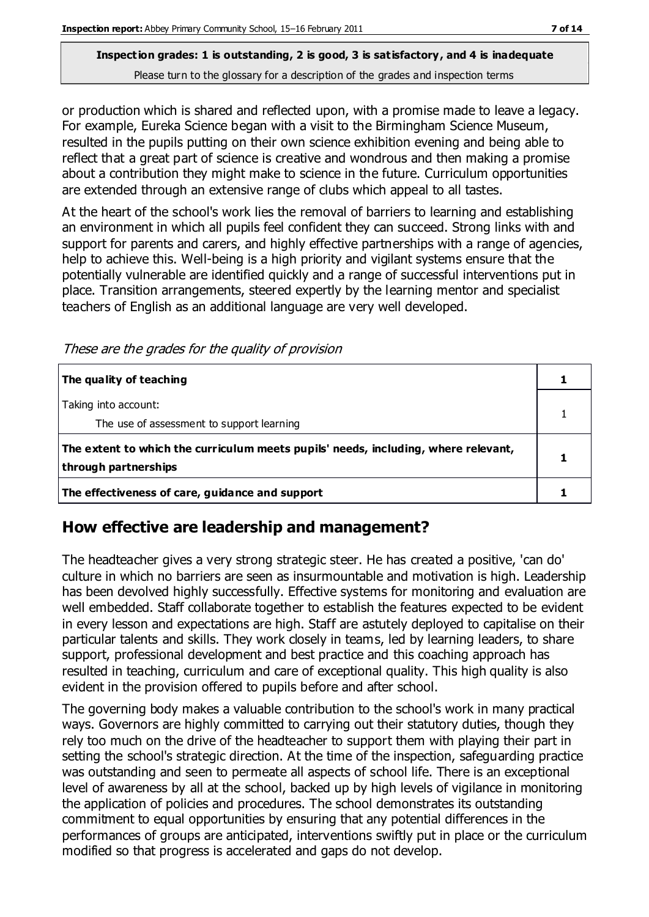or production which is shared and reflected upon, with a promise made to leave a legacy. For example, Eureka Science began with a visit to the Birmingham Science Museum, resulted in the pupils putting on their own science exhibition evening and being able to reflect that a great part of science is creative and wondrous and then making a promise about a contribution they might make to science in the future. Curriculum opportunities are extended through an extensive range of clubs which appeal to all tastes.

At the heart of the school's work lies the removal of barriers to learning and establishing an environment in which all pupils feel confident they can succeed. Strong links with and support for parents and carers, and highly effective partnerships with a range of agencies, help to achieve this. Well-being is a high priority and vigilant systems ensure that the potentially vulnerable are identified quickly and a range of successful interventions put in place. Transition arrangements, steered expertly by the learning mentor and specialist teachers of English as an additional language are very well developed.

These are the grades for the quality of provision

| The quality of teaching                                                                                    |  |
|------------------------------------------------------------------------------------------------------------|--|
| Taking into account:<br>The use of assessment to support learning                                          |  |
| The extent to which the curriculum meets pupils' needs, including, where relevant,<br>through partnerships |  |
| The effectiveness of care, guidance and support                                                            |  |

## **How effective are leadership and management?**

The headteacher gives a very strong strategic steer. He has created a positive, 'can do' culture in which no barriers are seen as insurmountable and motivation is high. Leadership has been devolved highly successfully. Effective systems for monitoring and evaluation are well embedded. Staff collaborate together to establish the features expected to be evident in every lesson and expectations are high. Staff are astutely deployed to capitalise on their particular talents and skills. They work closely in teams, led by learning leaders, to share support, professional development and best practice and this coaching approach has resulted in teaching, curriculum and care of exceptional quality. This high quality is also evident in the provision offered to pupils before and after school.

The governing body makes a valuable contribution to the school's work in many practical ways. Governors are highly committed to carrying out their statutory duties, though they rely too much on the drive of the headteacher to support them with playing their part in setting the school's strategic direction. At the time of the inspection, safeguarding practice was outstanding and seen to permeate all aspects of school life. There is an exceptional level of awareness by all at the school, backed up by high levels of vigilance in monitoring the application of policies and procedures. The school demonstrates its outstanding commitment to equal opportunities by ensuring that any potential differences in the performances of groups are anticipated, interventions swiftly put in place or the curriculum modified so that progress is accelerated and gaps do not develop.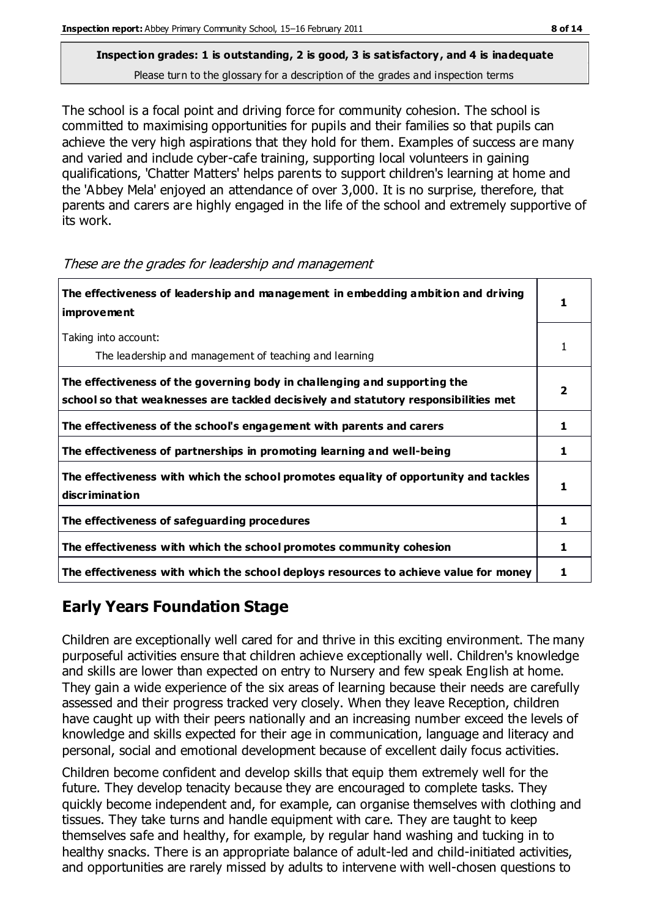The school is a focal point and driving force for community cohesion. The school is committed to maximising opportunities for pupils and their families so that pupils can achieve the very high aspirations that they hold for them. Examples of success are many and varied and include cyber-cafe training, supporting local volunteers in gaining qualifications, 'Chatter Matters' helps parents to support children's learning at home and the 'Abbey Mela' enjoyed an attendance of over 3,000. It is no surprise, therefore, that parents and carers are highly engaged in the life of the school and extremely supportive of its work.

| The effectiveness of leadership and management in embedding ambition and driving<br>improvement                                                                  |   |
|------------------------------------------------------------------------------------------------------------------------------------------------------------------|---|
| Taking into account:<br>The leadership and management of teaching and learning                                                                                   |   |
| The effectiveness of the governing body in challenging and supporting the<br>school so that weaknesses are tackled decisively and statutory responsibilities met |   |
| The effectiveness of the school's engagement with parents and carers                                                                                             | 1 |
| The effectiveness of partnerships in promoting learning and well-being                                                                                           | 1 |
| The effectiveness with which the school promotes equality of opportunity and tackles<br>discrimination                                                           |   |
| The effectiveness of safeguarding procedures                                                                                                                     | 1 |
| The effectiveness with which the school promotes community cohesion                                                                                              | 1 |
| The effectiveness with which the school deploys resources to achieve value for money                                                                             |   |

These are the grades for leadership and management

## **Early Years Foundation Stage**

Children are exceptionally well cared for and thrive in this exciting environment. The many purposeful activities ensure that children achieve exceptionally well. Children's knowledge and skills are lower than expected on entry to Nursery and few speak English at home. They gain a wide experience of the six areas of learning because their needs are carefully assessed and their progress tracked very closely. When they leave Reception, children have caught up with their peers nationally and an increasing number exceed the levels of knowledge and skills expected for their age in communication, language and literacy and personal, social and emotional development because of excellent daily focus activities.

Children become confident and develop skills that equip them extremely well for the future. They develop tenacity because they are encouraged to complete tasks. They quickly become independent and, for example, can organise themselves with clothing and tissues. They take turns and handle equipment with care. They are taught to keep themselves safe and healthy, for example, by regular hand washing and tucking in to healthy snacks. There is an appropriate balance of adult-led and child-initiated activities, and opportunities are rarely missed by adults to intervene with well-chosen questions to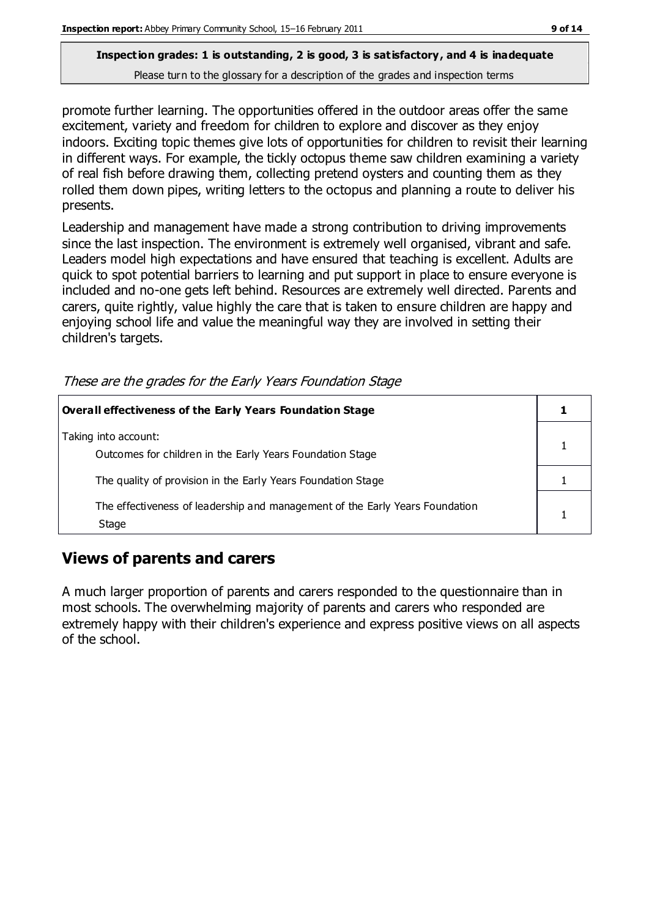promote further learning. The opportunities offered in the outdoor areas offer the same excitement, variety and freedom for children to explore and discover as they enjoy indoors. Exciting topic themes give lots of opportunities for children to revisit their learning in different ways. For example, the tickly octopus theme saw children examining a variety of real fish before drawing them, collecting pretend oysters and counting them as they rolled them down pipes, writing letters to the octopus and planning a route to deliver his presents.

Leadership and management have made a strong contribution to driving improvements since the last inspection. The environment is extremely well organised, vibrant and safe. Leaders model high expectations and have ensured that teaching is excellent. Adults are quick to spot potential barriers to learning and put support in place to ensure everyone is included and no-one gets left behind. Resources are extremely well directed. Parents and carers, quite rightly, value highly the care that is taken to ensure children are happy and enjoying school life and value the meaningful way they are involved in setting their children's targets.

| Overall effectiveness of the Early Years Foundation Stage                             |  |
|---------------------------------------------------------------------------------------|--|
| Taking into account:<br>Outcomes for children in the Early Years Foundation Stage     |  |
| The quality of provision in the Early Years Foundation Stage                          |  |
| The effectiveness of leadership and management of the Early Years Foundation<br>Stage |  |

These are the grades for the Early Years Foundation Stage

## **Views of parents and carers**

A much larger proportion of parents and carers responded to the questionnaire than in most schools. The overwhelming majority of parents and carers who responded are extremely happy with their children's experience and express positive views on all aspects of the school.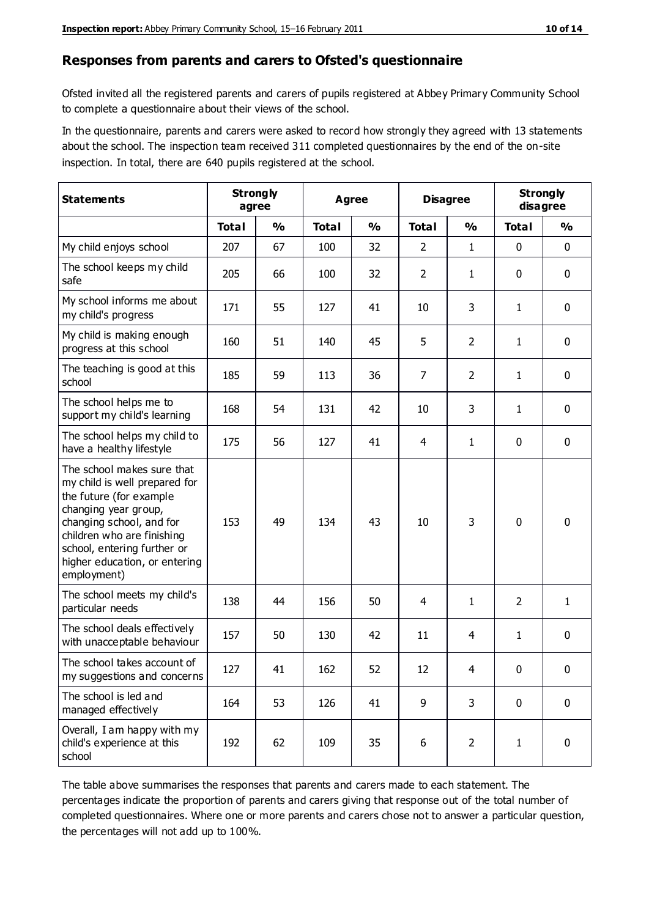#### **Responses from parents and carers to Ofsted's questionnaire**

Ofsted invited all the registered parents and carers of pupils registered at Abbey Primary Community School to complete a questionnaire about their views of the school.

In the questionnaire, parents and carers were asked to record how strongly they agreed with 13 statements about the school. The inspection team received 311 completed questionnaires by the end of the on-site inspection. In total, there are 640 pupils registered at the school.

| <b>Statements</b>                                                                                                                                                                                                                                       | <b>Strongly</b><br>agree |               | Agree        |               | <b>Disagree</b>  |                | <b>Strongly</b><br>disagree |               |
|---------------------------------------------------------------------------------------------------------------------------------------------------------------------------------------------------------------------------------------------------------|--------------------------|---------------|--------------|---------------|------------------|----------------|-----------------------------|---------------|
|                                                                                                                                                                                                                                                         | <b>Total</b>             | $\frac{0}{0}$ | <b>Total</b> | $\frac{0}{0}$ | <b>Total</b>     | $\frac{0}{0}$  | <b>Total</b>                | $\frac{0}{0}$ |
| My child enjoys school                                                                                                                                                                                                                                  | 207                      | 67            | 100          | 32            | $\overline{2}$   | 1              | 0                           | $\mathbf 0$   |
| The school keeps my child<br>safe                                                                                                                                                                                                                       | 205                      | 66            | 100          | 32            | $\overline{2}$   | 1              | 0                           | $\pmb{0}$     |
| My school informs me about<br>my child's progress                                                                                                                                                                                                       | 171                      | 55            | 127          | 41            | 10               | 3              | $\mathbf{1}$                | $\mathbf 0$   |
| My child is making enough<br>progress at this school                                                                                                                                                                                                    | 160                      | 51            | 140          | 45            | 5                | $\overline{2}$ | 1                           | $\mathbf 0$   |
| The teaching is good at this<br>school                                                                                                                                                                                                                  | 185                      | 59            | 113          | 36            | $\overline{7}$   | $\overline{2}$ | $\mathbf{1}$                | $\mathbf 0$   |
| The school helps me to<br>support my child's learning                                                                                                                                                                                                   | 168                      | 54            | 131          | 42            | 10               | 3              | 1                           | $\mathbf 0$   |
| The school helps my child to<br>have a healthy lifestyle                                                                                                                                                                                                | 175                      | 56            | 127          | 41            | 4                | 1              | 0                           | $\pmb{0}$     |
| The school makes sure that<br>my child is well prepared for<br>the future (for example<br>changing year group,<br>changing school, and for<br>children who are finishing<br>school, entering further or<br>higher education, or entering<br>employment) | 153                      | 49            | 134          | 43            | 10               | 3              | $\mathbf 0$                 | $\mathbf 0$   |
| The school meets my child's<br>particular needs                                                                                                                                                                                                         | 138                      | 44            | 156          | 50            | 4                | 1              | $\overline{2}$              | $\mathbf{1}$  |
| The school deals effectively<br>with unacceptable behaviour                                                                                                                                                                                             | 157                      | 50            | 130          | 42            | 11               | 4              | 1                           | $\mathbf 0$   |
| The school takes account of<br>my suggestions and concerns                                                                                                                                                                                              | 127                      | 41            | 162          | 52            | 12               | 4              | 0                           | 0             |
| The school is led and<br>managed effectively                                                                                                                                                                                                            | 164                      | 53            | 126          | 41            | 9                | 3              | $\mathbf 0$                 | $\mathbf 0$   |
| Overall, I am happy with my<br>child's experience at this<br>school                                                                                                                                                                                     | 192                      | 62            | 109          | 35            | $\boldsymbol{6}$ | $\overline{2}$ | $\mathbf{1}$                | $\pmb{0}$     |

The table above summarises the responses that parents and carers made to each statement. The percentages indicate the proportion of parents and carers giving that response out of the total number of completed questionnaires. Where one or more parents and carers chose not to answer a particular question, the percentages will not add up to 100%.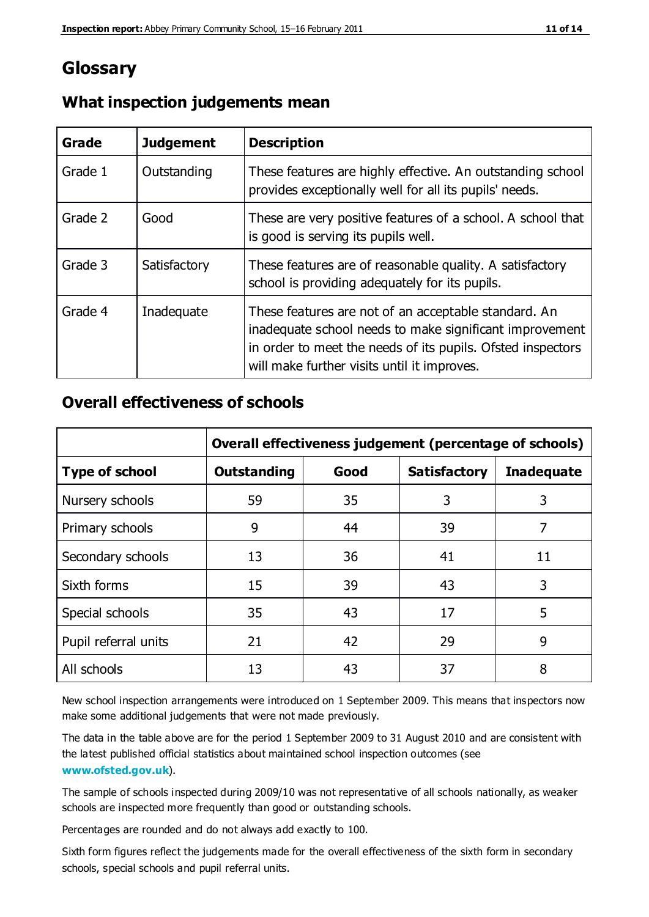## **Glossary**

| Grade   | <b>Judgement</b> | <b>Description</b>                                                                                                                                                                                                            |
|---------|------------------|-------------------------------------------------------------------------------------------------------------------------------------------------------------------------------------------------------------------------------|
| Grade 1 | Outstanding      | These features are highly effective. An outstanding school<br>provides exceptionally well for all its pupils' needs.                                                                                                          |
| Grade 2 | Good             | These are very positive features of a school. A school that<br>is good is serving its pupils well.                                                                                                                            |
| Grade 3 | Satisfactory     | These features are of reasonable quality. A satisfactory<br>school is providing adequately for its pupils.                                                                                                                    |
| Grade 4 | Inadequate       | These features are not of an acceptable standard. An<br>inadequate school needs to make significant improvement<br>in order to meet the needs of its pupils. Ofsted inspectors<br>will make further visits until it improves. |

#### **What inspection judgements mean**

#### **Overall effectiveness of schools**

|                       | Overall effectiveness judgement (percentage of schools) |      |                     |                   |
|-----------------------|---------------------------------------------------------|------|---------------------|-------------------|
| <b>Type of school</b> | <b>Outstanding</b>                                      | Good | <b>Satisfactory</b> | <b>Inadequate</b> |
| Nursery schools       | 59                                                      | 35   | 3                   | 3                 |
| Primary schools       | 9                                                       | 44   | 39                  | 7                 |
| Secondary schools     | 13                                                      | 36   | 41                  | 11                |
| Sixth forms           | 15                                                      | 39   | 43                  | 3                 |
| Special schools       | 35                                                      | 43   | 17                  | 5                 |
| Pupil referral units  | 21                                                      | 42   | 29                  | 9                 |
| All schools           | 13                                                      | 43   | 37                  | 8                 |

New school inspection arrangements were introduced on 1 September 2009. This means that inspectors now make some additional judgements that were not made previously.

The data in the table above are for the period 1 September 2009 to 31 August 2010 and are consistent with the latest published official statistics about maintained school inspection outcomes (see **[www.ofsted.gov.uk](http://www.ofsted.gov.uk/)**).

The sample of schools inspected during 2009/10 was not representative of all schools nationally, as weaker schools are inspected more frequently than good or outstanding schools.

Percentages are rounded and do not always add exactly to 100.

Sixth form figures reflect the judgements made for the overall effectiveness of the sixth form in secondary schools, special schools and pupil referral units.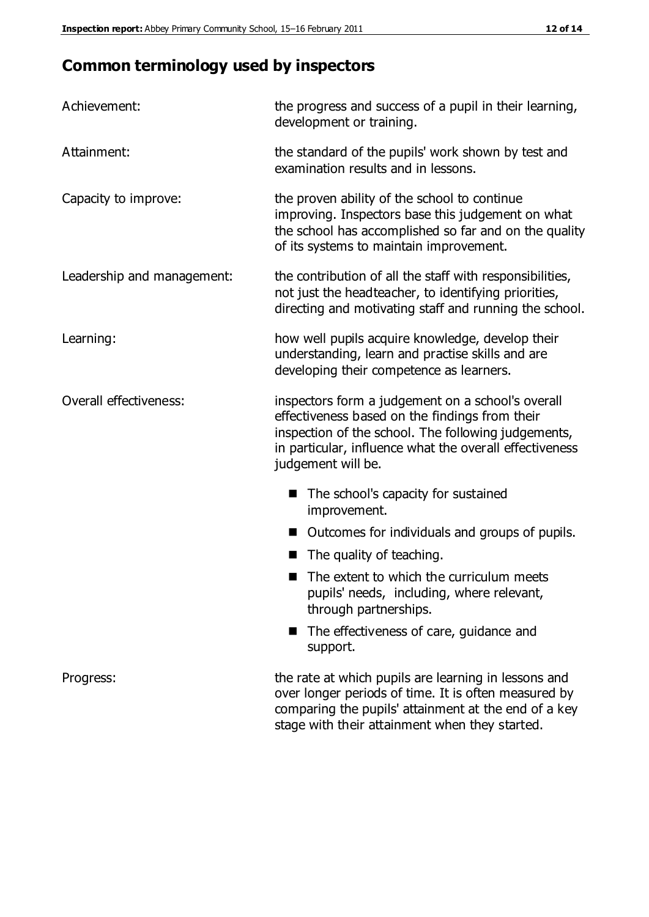# **Common terminology used by inspectors**

| Achievement:               | the progress and success of a pupil in their learning,<br>development or training.                                                                                                                                                          |
|----------------------------|---------------------------------------------------------------------------------------------------------------------------------------------------------------------------------------------------------------------------------------------|
| Attainment:                | the standard of the pupils' work shown by test and<br>examination results and in lessons.                                                                                                                                                   |
| Capacity to improve:       | the proven ability of the school to continue<br>improving. Inspectors base this judgement on what<br>the school has accomplished so far and on the quality<br>of its systems to maintain improvement.                                       |
| Leadership and management: | the contribution of all the staff with responsibilities,<br>not just the headteacher, to identifying priorities,<br>directing and motivating staff and running the school.                                                                  |
| Learning:                  | how well pupils acquire knowledge, develop their<br>understanding, learn and practise skills and are<br>developing their competence as learners.                                                                                            |
| Overall effectiveness:     | inspectors form a judgement on a school's overall<br>effectiveness based on the findings from their<br>inspection of the school. The following judgements,<br>in particular, influence what the overall effectiveness<br>judgement will be. |
|                            | The school's capacity for sustained<br>improvement.                                                                                                                                                                                         |
|                            | Outcomes for individuals and groups of pupils.                                                                                                                                                                                              |
|                            | The quality of teaching.                                                                                                                                                                                                                    |
|                            | The extent to which the curriculum meets<br>pupils' needs, including, where relevant,<br>through partnerships.                                                                                                                              |
|                            | The effectiveness of care, guidance and<br>support.                                                                                                                                                                                         |
| Progress:                  | the rate at which pupils are learning in lessons and<br>over longer periods of time. It is often measured by<br>comparing the pupils' attainment at the end of a key                                                                        |

stage with their attainment when they started.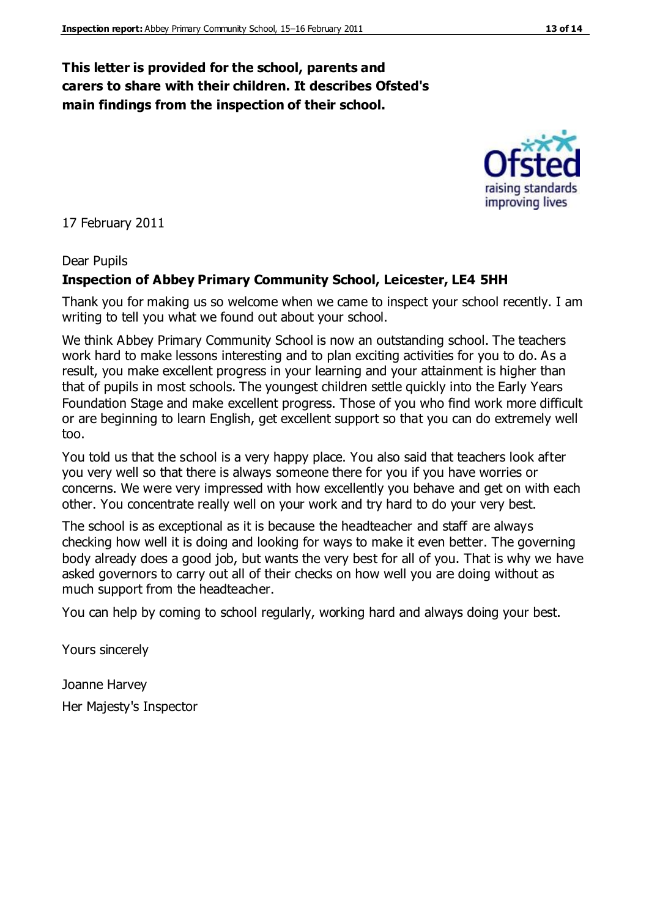#### **This letter is provided for the school, parents and carers to share with their children. It describes Ofsted's main findings from the inspection of their school.**

17 February 2011

#### Dear Pupils

#### **Inspection of Abbey Primary Community School, Leicester, LE4 5HH**

Thank you for making us so welcome when we came to inspect your school recently. I am writing to tell you what we found out about your school.

We think Abbey Primary Community School is now an outstanding school. The teachers work hard to make lessons interesting and to plan exciting activities for you to do. As a result, you make excellent progress in your learning and your attainment is higher than that of pupils in most schools. The youngest children settle quickly into the Early Years Foundation Stage and make excellent progress. Those of you who find work more difficult or are beginning to learn English, get excellent support so that you can do extremely well too.

You told us that the school is a very happy place. You also said that teachers look after you very well so that there is always someone there for you if you have worries or concerns. We were very impressed with how excellently you behave and get on with each other. You concentrate really well on your work and try hard to do your very best.

The school is as exceptional as it is because the headteacher and staff are always checking how well it is doing and looking for ways to make it even better. The governing body already does a good job, but wants the very best for all of you. That is why we have asked governors to carry out all of their checks on how well you are doing without as much support from the headteacher.

You can help by coming to school regularly, working hard and always doing your best.

Yours sincerely

Joanne Harvey Her Majesty's Inspector